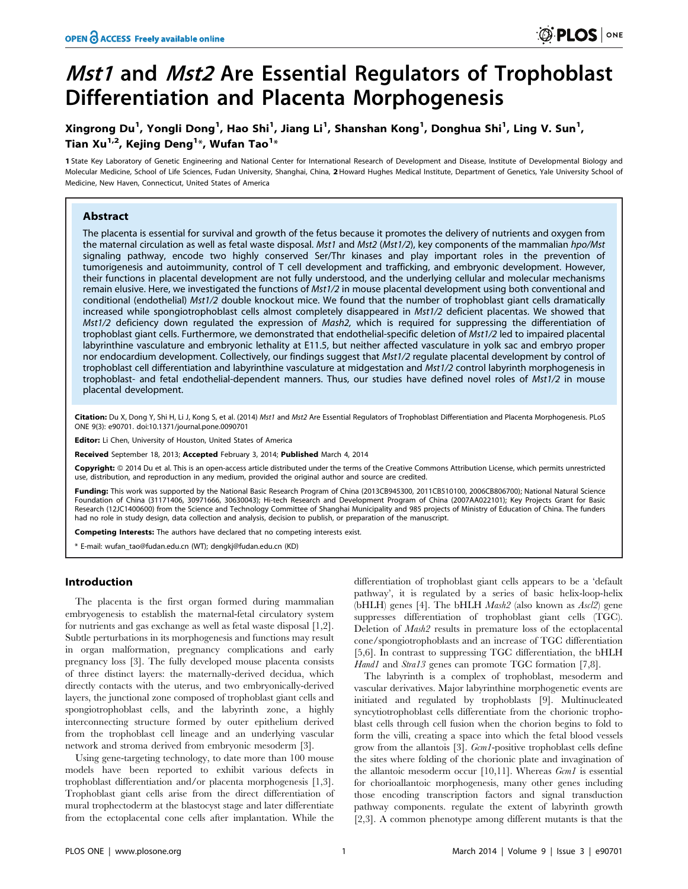# Mst1 and Mst2 Are Essential Regulators of Trophoblast Differentiation and Placenta Morphogenesis

## Xingrong Du $^1$ , Yongli Dong $^1$ , Hao Shi $^1$ , Jiang Li $^1$ , Shanshan Kong $^1$ , Donghua Shi $^1$ , Ling V. Sun $^1$ , Tian Xu<sup>1,2</sup>, Kejing Deng<sup>1</sup>\*, Wufan Tao<sup>1</sup>\*

1 State Key Laboratory of Genetic Engineering and National Center for International Research of Development and Disease, Institute of Developmental Biology and Molecular Medicine, School of Life Sciences, Fudan University, Shanghai, China, 2 Howard Hughes Medical Institute, Department of Genetics, Yale University School of Medicine, New Haven, Connecticut, United States of America

## Abstract

The placenta is essential for survival and growth of the fetus because it promotes the delivery of nutrients and oxygen from the maternal circulation as well as fetal waste disposal. Mst1 and Mst2 (Mst1/2), key components of the mammalian hpo/Mst signaling pathway, encode two highly conserved Ser/Thr kinases and play important roles in the prevention of tumorigenesis and autoimmunity, control of T cell development and trafficking, and embryonic development. However, their functions in placental development are not fully understood, and the underlying cellular and molecular mechanisms remain elusive. Here, we investigated the functions of Mst1/2 in mouse placental development using both conventional and conditional (endothelial) Mst1/2 double knockout mice. We found that the number of trophoblast giant cells dramatically increased while spongiotrophoblast cells almost completely disappeared in Mst1/2 deficient placentas. We showed that Mst1/2 deficiency down regulated the expression of Mash2, which is required for suppressing the differentiation of trophoblast giant cells. Furthermore, we demonstrated that endothelial-specific deletion of Mst1/2 led to impaired placental labyrinthine vasculature and embryonic lethality at E11.5, but neither affected vasculature in yolk sac and embryo proper nor endocardium development. Collectively, our findings suggest that Mst1/2 regulate placental development by control of trophoblast cell differentiation and labyrinthine vasculature at midgestation and Mst1/2 control labyrinth morphogenesis in trophoblast- and fetal endothelial-dependent manners. Thus, our studies have defined novel roles of Mst1/2 in mouse placental development.

Citation: Du X, Dong Y, Shi H, Li J, Kong S, et al. (2014) Mst1 and Mst2 Are Essential Regulators of Trophoblast Differentiation and Placenta Morphogenesis. PLoS ONE 9(3): e90701. doi:10.1371/journal.pone.0090701

Editor: Li Chen, University of Houston, United States of America

Received September 18, 2013; Accepted February 3, 2014; Published March 4, 2014

Copyright: © 2014 Du et al. This is an open-access article distributed under the terms of the [Creative Commons Attribution License,](http://creativecommons.org/licenses/by/4.0/) which permits unrestricted use, distribution, and reproduction in any medium, provided the original author and source are credited.

Funding: This work was supported by the National Basic Research Program of China (2013CB945300, 2011CB510100, 2006CB806700); National Natural Science Foundation of China (31171406, 30971666, 30630043); Hi-tech Research and Development Program of China (2007AA022101); Key Projects Grant for Basic Research (12JC1400600) from the Science and Technology Committee of Shanghai Municipality and 985 projects of Ministry of Education of China. The funders had no role in study design, data collection and analysis, decision to publish, or preparation of the manuscript.

Competing Interests: The authors have declared that no competing interests exist.

E-mail: wufan\_tao@fudan.edu.cn (WT); dengkj@fudan.edu.cn (KD)

## Introduction

The placenta is the first organ formed during mammalian embryogenesis to establish the maternal-fetal circulatory system for nutrients and gas exchange as well as fetal waste disposal [1,2]. Subtle perturbations in its morphogenesis and functions may result in organ malformation, pregnancy complications and early pregnancy loss [3]. The fully developed mouse placenta consists of three distinct layers: the maternally-derived decidua, which directly contacts with the uterus, and two embryonically-derived layers, the junctional zone composed of trophoblast giant cells and spongiotrophoblast cells, and the labyrinth zone, a highly interconnecting structure formed by outer epithelium derived from the trophoblast cell lineage and an underlying vascular network and stroma derived from embryonic mesoderm [3].

Using gene-targeting technology, to date more than 100 mouse models have been reported to exhibit various defects in trophoblast differentiation and/or placenta morphogenesis [1,3]. Trophoblast giant cells arise from the direct differentiation of mural trophectoderm at the blastocyst stage and later differentiate from the ectoplacental cone cells after implantation. While the

differentiation of trophoblast giant cells appears to be a 'default pathway', it is regulated by a series of basic helix-loop-helix (bHLH) genes [4]. The bHLH Mash2 (also known as Ascl2) gene suppresses differentiation of trophoblast giant cells (TGC). Deletion of Mash2 results in premature loss of the ectoplacental cone/spongiotrophoblasts and an increase of TGC differentiation [5,6]. In contrast to suppressing TGC differentiation, the bHLH Hand1 and Stra13 genes can promote TGC formation [7,8].

The labyrinth is a complex of trophoblast, mesoderm and vascular derivatives. Major labyrinthine morphogenetic events are initiated and regulated by trophoblasts [9]. Multinucleated syncytiotrophoblast cells differentiate from the chorionic trophoblast cells through cell fusion when the chorion begins to fold to form the villi, creating a space into which the fetal blood vessels grow from the allantois [3]. Gcm1-positive trophoblast cells define the sites where folding of the chorionic plate and invagination of the allantoic mesoderm occur [10,11]. Whereas  $Gcm1$  is essential for chorioallantoic morphogenesis, many other genes including those encoding transcription factors and signal transduction pathway components. regulate the extent of labyrinth growth [2,3]. A common phenotype among different mutants is that the

**O PLOS** ONE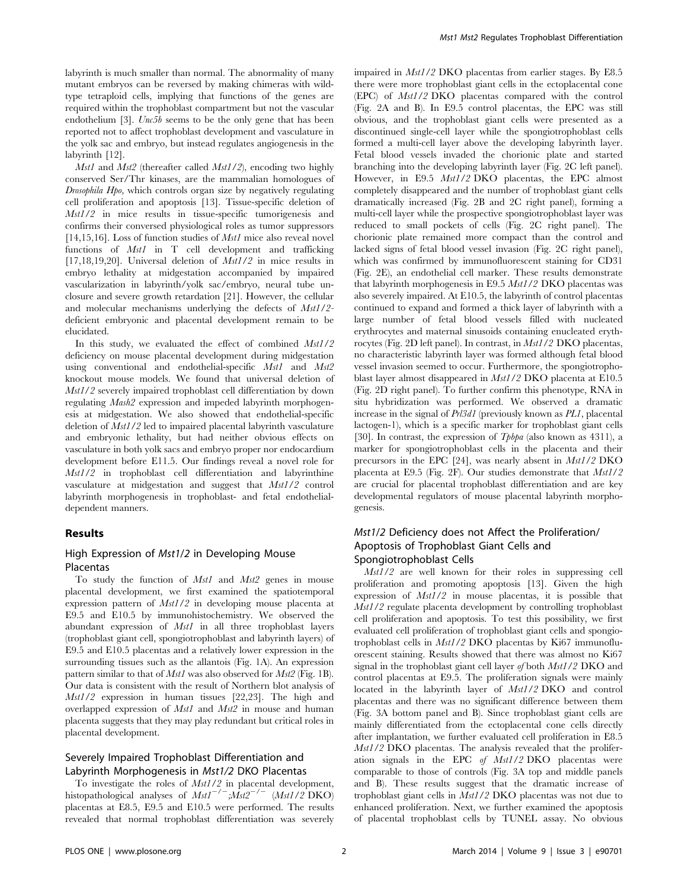labyrinth is much smaller than normal. The abnormality of many mutant embryos can be reversed by making chimeras with wildtype tetraploid cells, implying that functions of the genes are required within the trophoblast compartment but not the vascular endothelium [3]. Unc5b seems to be the only gene that has been reported not to affect trophoblast development and vasculature in the yolk sac and embryo, but instead regulates angiogenesis in the labyrinth [12].

Mst1 and Mst2 (thereafter called Mst1/2), encoding two highly conserved Ser/Thr kinases, are the mammalian homologues of Drosophila Hpo, which controls organ size by negatively regulating cell proliferation and apoptosis [13]. Tissue-specific deletion of Mst1/2 in mice results in tissue-specific tumorigenesis and confirms their conversed physiological roles as tumor suppressors [14,15,16]. Loss of function studies of  $Mst1$  mice also reveal novel functions of Mst1 in T cell development and trafficking [17,18,19,20]. Universal deletion of *Mst1/2* in mice results in embryo lethality at midgestation accompanied by impaired vascularization in labyrinth/yolk sac/embryo, neural tube unclosure and severe growth retardation [21]. However, the cellular and molecular mechanisms underlying the defects of Mst1/2 deficient embryonic and placental development remain to be elucidated.

In this study, we evaluated the effect of combined Mst1/2 deficiency on mouse placental development during midgestation using conventional and endothelial-specific Mst1 and Mst2 knockout mouse models. We found that universal deletion of Mst1/2 severely impaired trophoblast cell differentiation by down regulating Mash2 expression and impeded labyrinth morphogenesis at midgestation. We also showed that endothelial-specific deletion of Mst1/2 led to impaired placental labyrinth vasculature and embryonic lethality, but had neither obvious effects on vasculature in both yolk sacs and embryo proper nor endocardium development before E11.5. Our findings reveal a novel role for Mst1/2 in trophoblast cell differentiation and labyrinthine vasculature at midgestation and suggest that Mst1/2 control labyrinth morphogenesis in trophoblast- and fetal endothelialdependent manners.

#### Results

## High Expression of Mst1/2 in Developing Mouse **Placentas**

To study the function of *Mst1* and *Mst2* genes in mouse placental development, we first examined the spatiotemporal expression pattern of *Mst1/2* in developing mouse placenta at E9.5 and E10.5 by immunohistochemistry. We observed the abundant expression of Mst1 in all three trophoblast layers (trophoblast giant cell, spongiotrophoblast and labyrinth layers) of E9.5 and E10.5 placentas and a relatively lower expression in the surrounding tissues such as the allantois (Fig. 1A). An expression pattern similar to that of *Mst1* was also observed for *Mst2* (Fig. 1B). Our data is consistent with the result of Northern blot analysis of Mst1/2 expression in human tissues [22,23]. The high and overlapped expression of *Mst1* and *Mst2* in mouse and human placenta suggests that they may play redundant but critical roles in placental development.

## Severely Impaired Trophoblast Differentiation and Labyrinth Morphogenesis in Mst1/2 DKO Placentas

To investigate the roles of Mst1/2 in placental development, histopathological analyses of  $MstI^{-/-}$ ; $\dot{M}st2^{-/-}$  ( $MstI/2$  DKO) placentas at E8.5, E9.5 and E10.5 were performed. The results revealed that normal trophoblast differentiation was severely impaired in Mst1/2 DKO placentas from earlier stages. By E8.5 there were more trophoblast giant cells in the ectoplacental cone (EPC) of Mst1/2 DKO placentas compared with the control (Fig. 2A and B). In E9.5 control placentas, the EPC was still obvious, and the trophoblast giant cells were presented as a discontinued single-cell layer while the spongiotrophoblast cells formed a multi-cell layer above the developing labyrinth layer. Fetal blood vessels invaded the chorionic plate and started branching into the developing labyrinth layer (Fig. 2C left panel). However, in E9.5 Mst1/2 DKO placentas, the EPC almost completely disappeared and the number of trophoblast giant cells dramatically increased (Fig. 2B and 2C right panel), forming a multi-cell layer while the prospective spongiotrophoblast layer was reduced to small pockets of cells (Fig. 2C right panel). The chorionic plate remained more compact than the control and lacked signs of fetal blood vessel invasion (Fig. 2C right panel), which was confirmed by immunofluorescent staining for CD31 (Fig. 2E), an endothelial cell marker. These results demonstrate that labyrinth morphogenesis in E9.5  $Mst1/2$  DKO placentas was also severely impaired. At E10.5, the labyrinth of control placentas continued to expand and formed a thick layer of labyrinth with a large number of fetal blood vessels filled with nucleated erythrocytes and maternal sinusoids containing enucleated erythrocytes (Fig. 2D left panel). In contrast, in Mst1/2 DKO placentas, no characteristic labyrinth layer was formed although fetal blood vessel invasion seemed to occur. Furthermore, the spongiotrophoblast layer almost disappeared in Mst1/2 DKO placenta at E10.5 (Fig. 2D right panel). To further confirm this phenotype, RNA in situ hybridization was performed. We observed a dramatic increase in the signal of Prl3d1 (previously known as PL1, placental lactogen-1), which is a specific marker for trophoblast giant cells [30]. In contrast, the expression of  $T$ *pbpa* (also known as 4311), a marker for spongiotrophoblast cells in the placenta and their precursors in the EPC [24], was nearly absent in Mst1/2 DKO placenta at E9.5 (Fig. 2F). Our studies demonstrate that Mst1/2 are crucial for placental trophoblast differentiation and are key developmental regulators of mouse placental labyrinth morphogenesis.

## Mst1/2 Deficiency does not Affect the Proliferation/ Apoptosis of Trophoblast Giant Cells and Spongiotrophoblast Cells

Mst1/2 are well known for their roles in suppressing cell proliferation and promoting apoptosis [13]. Given the high expression of  $Mst1/2$  in mouse placentas, it is possible that Mst1/2 regulate placenta development by controlling trophoblast cell proliferation and apoptosis. To test this possibility, we first evaluated cell proliferation of trophoblast giant cells and spongiotrophoblast cells in Mst1/2 DKO placentas by Ki67 immunofluorescent staining. Results showed that there was almost no Ki67 signal in the trophoblast giant cell layer of both Mst1/2 DKO and control placentas at E9.5. The proliferation signals were mainly located in the labyrinth layer of Mst1/2 DKO and control placentas and there was no significant difference between them (Fig. 3A bottom panel and B). Since trophoblast giant cells are mainly differentiated from the ectoplacental cone cells directly after implantation, we further evaluated cell proliferation in E8.5 Mst1/2 DKO placentas. The analysis revealed that the proliferation signals in the EPC of Mst1/2 DKO placentas were comparable to those of controls (Fig. 3A top and middle panels and B). These results suggest that the dramatic increase of trophoblast giant cells in Mst1/2 DKO placentas was not due to enhanced proliferation. Next, we further examined the apoptosis of placental trophoblast cells by TUNEL assay. No obvious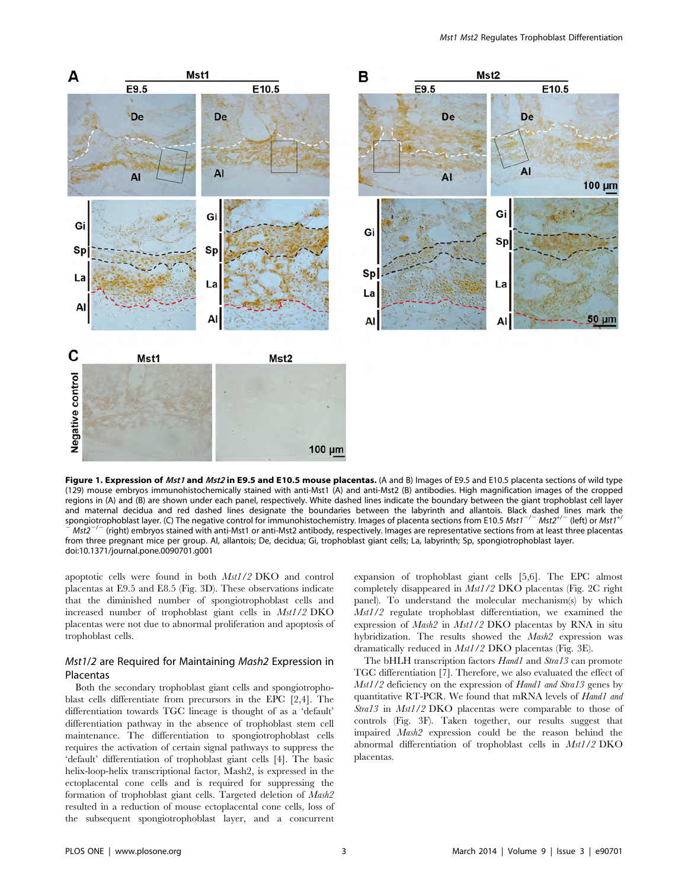

Figure 1. Expression of Mst1 and Mst2 in E9.5 and E10.5 mouse placentas. (A and B) Images of E9.5 and E10.5 placenta sections of wild type (129) mouse embryos immunohistochemically stained with anti-Mst1 (A) and anti-Mst2 (B) antibodies. High magnification images of the cropped regions in (A) and (B) are shown under each panel, respectively. White dashed lines indicate the boundary between the giant trophoblast cell layer and maternal decidua and red dashed lines designate the boundaries between the labyrinth and allantois. Black dashed lines mark the spongiotrophoblast layer. (C) The negative control for immunohistochemistry. Images of placenta sections from E10.5 Mst1<sup>-/-</sup> Mst2<sup>+/-</sup> (left) or Mst1<sup>+</sup>  $Mst2^{-/-}$  (right) embryos stained with anti-Mst1 or anti-Mst2 antibody, respectively. Images are representative sections from at least three placentas from three pregnant mice per group. Al, allantois; De, decidua; Gi, trophoblast giant cells; La, labyrinth; Sp, spongiotrophoblast layer. doi:10.1371/journal.pone.0090701.g001

apoptotic cells were found in both Mst1/2 DKO and control placentas at E9.5 and E8.5 (Fig. 3D). These observations indicate that the diminished number of spongiotrophoblast cells and increased number of trophoblast giant cells in Mst1/2 DKO placentas were not due to abnormal proliferation and apoptosis of trophoblast cells.

## Mst1/2 are Required for Maintaining Mash2 Expression in Placentas

Both the secondary trophoblast giant cells and spongiotrophoblast cells differentiate from precursors in the EPC [2,4]. The differentiation towards TGC lineage is thought of as a 'default' differentiation pathway in the absence of trophoblast stem cell maintenance. The differentiation to spongiotrophoblast cells requires the activation of certain signal pathways to suppress the 'default' differentiation of trophoblast giant cells [4]. The basic helix-loop-helix transcriptional factor, Mash2, is expressed in the ectoplacental cone cells and is required for suppressing the formation of trophoblast giant cells. Targeted deletion of Mash2 resulted in a reduction of mouse ectoplacental cone cells, loss of the subsequent spongiotrophoblast layer, and a concurrent

expansion of trophoblast giant cells [5,6]. The EPC almost completely disappeared in Mst1/2 DKO placentas (Fig. 2C right panel). To understand the molecular mechanism(s) by which Mst1/2 regulate trophoblast differentiation, we examined the expression of Mash2 in Mst1/2 DKO placentas by RNA in situ hybridization. The results showed the Mash2 expression was dramatically reduced in Mst1/2 DKO placentas (Fig. 3E).

The bHLH transcription factors *Hand1* and *Stra13* can promote TGC differentiation [7]. Therefore, we also evaluated the effect of Mst1/2 deficiency on the expression of Hand1 and Stra13 genes by quantitative RT-PCR. We found that mRNA levels of Hand1 and Stra13 in Mst1/2 DKO placentas were comparable to those of controls (Fig. 3F). Taken together, our results suggest that impaired Mash2 expression could be the reason behind the abnormal differentiation of trophoblast cells in Mst1/2 DKO placentas.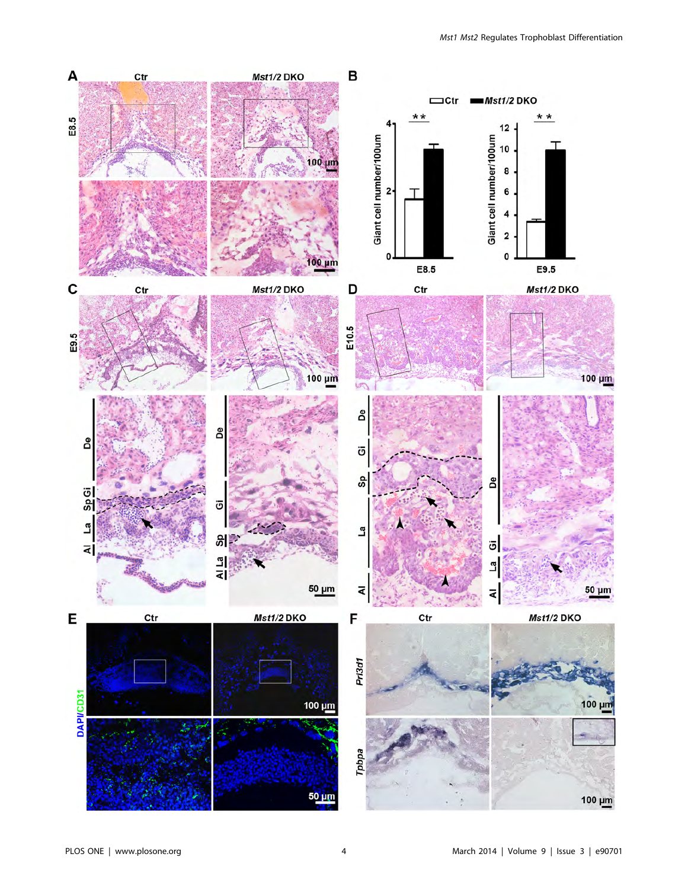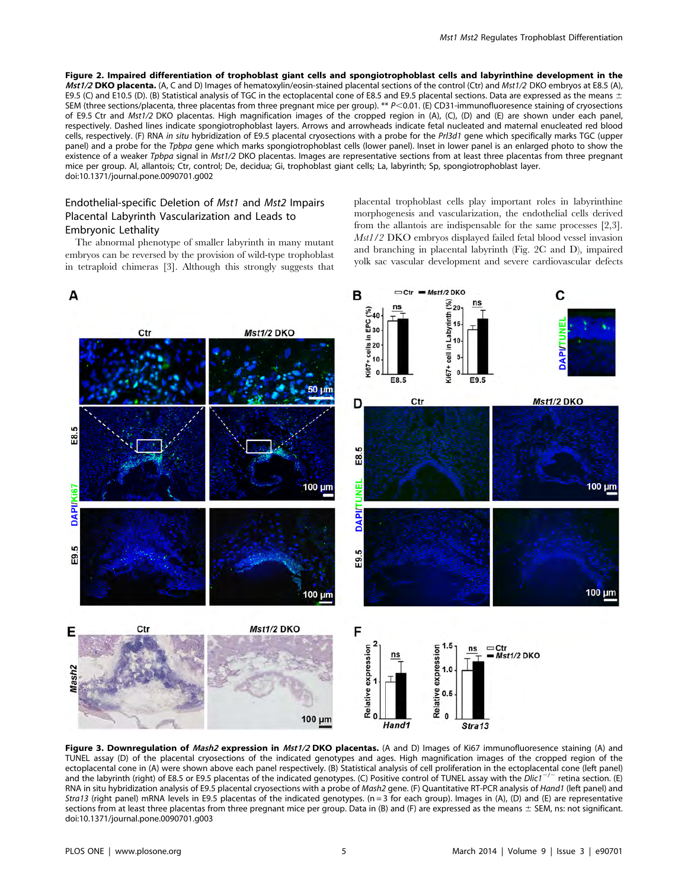Figure 2. Impaired differentiation of trophoblast giant cells and spongiotrophoblast cells and labyrinthine development in the Mst1/2 DKO placenta. (A, C and D) Images of hematoxylin/eosin-stained placental sections of the control (Ctr) and Mst1/2 DKO embryos at E8.5 (A), E9.5 (C) and E10.5 (D). (B) Statistical analysis of TGC in the ectoplacental cone of E8.5 and E9.5 placental sections. Data are expressed as the means  $\pm$ SEM (three sections/placenta, three placentas from three pregnant mice per group). \*\*  $P< 0.01$ . (E) CD31-immunofluoresence staining of cryosections of E9.5 Ctr and Mst1/2 DKO placentas. High magnification images of the cropped region in (A), (C), (D) and (E) are shown under each panel, respectively. Dashed lines indicate spongiotrophoblast layers. Arrows and arrowheads indicate fetal nucleated and maternal enucleated red blood cells, respectively. (F) RNA in situ hybridization of E9.5 placental cryosections with a probe for the Prl3d1 gene which specifically marks TGC (upper panel) and a probe for the Tpbpa gene which marks spongiotrophoblast cells (lower panel). Inset in lower panel is an enlarged photo to show the existence of a weaker Tpbpa signal in Mst1/2 DKO placentas. Images are representative sections from at least three placentas from three pregnant mice per group. Al, allantois; Ctr, control; De, decidua; Gi, trophoblast giant cells; La, labyrinth; Sp, spongiotrophoblast layer. doi:10.1371/journal.pone.0090701.g002

## Endothelial-specific Deletion of Mst1 and Mst2 Impairs Placental Labyrinth Vascularization and Leads to Embryonic Lethality

The abnormal phenotype of smaller labyrinth in many mutant embryos can be reversed by the provision of wild-type trophoblast in tetraploid chimeras [3]. Although this strongly suggests that placental trophoblast cells play important roles in labyrinthine morphogenesis and vascularization, the endothelial cells derived from the allantois are indispensable for the same processes [2,3]. Mst1/2 DKO embryos displayed failed fetal blood vessel invasion and branching in placental labyrinth (Fig. 2C and D), impaired yolk sac vascular development and severe cardiovascular defects



Figure 3. Downregulation of Mash2 expression in Mst1/2 DKO placentas. (A and D) Images of Ki67 immunofluoresence staining (A) and TUNEL assay (D) of the placental cryosections of the indicated genotypes and ages. High magnification images of the cropped region of the ectoplacental cone in (A) were shown above each panel respectively. (B) Statistical analysis of cell proliferation in the ectoplacental cone (left panel) and the labyrinth (right) of E8.5 or E9.5 placentas of the indicated genotypes. (C) Positive control of TUNEL assay with the *Dlic1<sup>-/-</sup>* retina section. (E) RNA in situ hybridization analysis of E9.5 placental cryosections with a probe of *Mash2* gene. (F) Quantitative RT-PCR analysis of *Hand1* (left panel) and Stra13 (right panel) mRNA levels in E9.5 placentas of the indicated genotypes. (n = 3 for each group). Images in (A), (D) and (E) are representative sections from at least three placentas from three pregnant mice per group. Data in (B) and (F) are expressed as the means  $\pm$  SEM, ns: not significant. doi:10.1371/journal.pone.0090701.g003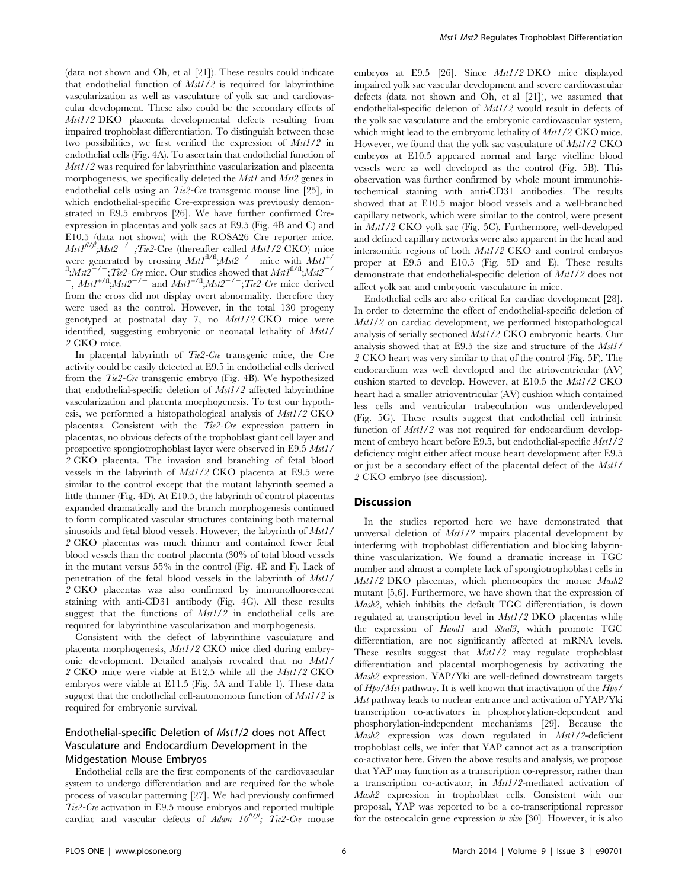(data not shown and Oh, et al [21]). These results could indicate that endothelial function of  $Mst1/2$  is required for labyrinthine vascularization as well as vasculature of yolk sac and cardiovascular development. These also could be the secondary effects of Mst1/2 DKO placenta developmental defects resulting from impaired trophoblast differentiation. To distinguish between these two possibilities, we first verified the expression of Mst1/2 in endothelial cells (Fig. 4A). To ascertain that endothelial function of Mst1/2 was required for labyrinthine vascularization and placenta morphogenesis, we specifically deleted the *Mst1* and *Mst2* genes in endothelial cells using an  $T\hat{i}e^2$ -Cre transgenic mouse line [25], in which endothelial-specific Cre-expression was previously demonstrated in E9.5 embryos [26]. We have further confirmed Creexpression in placentas and yolk sacs at E9.5 (Fig. 4B and C) and E10.5 (data not shown) with the ROSA26 Cre reporter mice.  $MstI<sup>f1/f</sup>;Mst2<sup>-/-</sup>;Tie2-Cre (thereafter called Mst1/2 CKO) mice$ were generated by crossing  $MstI^{1/4}$ ; $Mst2^{-/-}$  mice with  $MstI^{+/2}$  $f^{\text{fl}}$ ; $Mst2^{-/-}$ ; Tie2-Cre mice. Our studies showed that  $Mst1^{\text{fl}/\text{fl}}$ ; $Mst2^{-/-}$  $\sum_{i=1}^{N} M_{i} t^{j}$   $M_{i} t^{j}$  and  $M_{i} t^{j}$   $M_{i} t^{j}$   $M_{i} t^{j}$   $M_{i} t^{j}$   $M_{i} t^{j}$   $M_{i} t^{j}$   $M_{i} t^{j}$ from the cross did not display overt abnormality, therefore they were used as the control. However, in the total 130 progeny genotyped at postnatal day 7, no Mst1/2 CKO mice were identified, suggesting embryonic or neonatal lethality of Mst1/ 2 CKO mice.

In placental labyrinth of  $Tie2-Cre$  transgenic mice, the Cre activity could be easily detected at E9.5 in endothelial cells derived from the Tie2-Cre transgenic embryo (Fig. 4B). We hypothesized that endothelial-specific deletion of Mst1/2 affected labyrinthine vascularization and placenta morphogenesis. To test our hypothesis, we performed a histopathological analysis of Mst1/2 CKO placentas. Consistent with the Tie2-Cre expression pattern in placentas, no obvious defects of the trophoblast giant cell layer and prospective spongiotrophoblast layer were observed in E9.5 Mst1/ 2 CKO placenta. The invasion and branching of fetal blood vessels in the labyrinth of Mst1/2 CKO placenta at E9.5 were similar to the control except that the mutant labyrinth seemed a little thinner (Fig. 4D). At E10.5, the labyrinth of control placentas expanded dramatically and the branch morphogenesis continued to form complicated vascular structures containing both maternal sinusoids and fetal blood vessels. However, the labyrinth of Mst1/ 2 CKO placentas was much thinner and contained fewer fetal blood vessels than the control placenta (30% of total blood vessels in the mutant versus 55% in the control (Fig. 4E and F). Lack of penetration of the fetal blood vessels in the labyrinth of Mst1/ 2 CKO placentas was also confirmed by immunofluorescent staining with anti-CD31 antibody (Fig. 4G). All these results suggest that the functions of Mst1/2 in endothelial cells are required for labyrinthine vascularization and morphogenesis.

Consistent with the defect of labyrinthine vasculature and placenta morphogenesis, Mst1/2 CKO mice died during embryonic development. Detailed analysis revealed that no Mst1/ 2 CKO mice were viable at E12.5 while all the Mst1/2 CKO embryos were viable at E11.5 (Fig. 5A and Table 1). These data suggest that the endothelial cell-autonomous function of Mst1/2 is required for embryonic survival.

## Endothelial-specific Deletion of Mst1/2 does not Affect Vasculature and Endocardium Development in the Midgestation Mouse Embryos

Endothelial cells are the first components of the cardiovascular system to undergo differentiation and are required for the whole process of vascular patterning [27]. We had previously confirmed Tie2-Cre activation in E9.5 mouse embryos and reported multiple cardiac and vascular defects of Adam  $10^{11/1}$ ; Tie2-Cre mouse embryos at E9.5 [26]. Since Mst1/2 DKO mice displayed impaired yolk sac vascular development and severe cardiovascular defects (data not shown and Oh, et al [21]), we assumed that endothelial-specific deletion of Mst1/2 would result in defects of the yolk sac vasculature and the embryonic cardiovascular system, which might lead to the embryonic lethality of  $Mst1/2$  CKO mice. However, we found that the yolk sac vasculature of Mst1/2 CKO embryos at E10.5 appeared normal and large vitelline blood vessels were as well developed as the control (Fig. 5B). This observation was further confirmed by whole mount immunohistochemical staining with anti-CD31 antibodies. The results showed that at E10.5 major blood vessels and a well-branched capillary network, which were similar to the control, were present in Mst1/2 CKO yolk sac (Fig. 5C). Furthermore, well-developed and defined capillary networks were also apparent in the head and intersomitic regions of both Mst1/2 CKO and control embryos proper at E9.5 and E10.5 (Fig. 5D and E). These results demonstrate that endothelial-specific deletion of Mst1/2 does not affect yolk sac and embryonic vasculature in mice.

Endothelial cells are also critical for cardiac development [28]. In order to determine the effect of endothelial-specific deletion of Mst1/2 on cardiac development, we performed histopathological analysis of serially sectioned Mst1/2 CKO embryonic hearts. Our analysis showed that at E9.5 the size and structure of the Mst1/ 2 CKO heart was very similar to that of the control (Fig. 5F). The endocardium was well developed and the atrioventricular (AV) cushion started to develop. However, at E10.5 the Mst1/2 CKO heart had a smaller atrioventricular (AV) cushion which contained less cells and ventricular trabeculation was underdeveloped (Fig. 5G). These results suggest that endothelial cell intrinsic function of Mst1/2 was not required for endocardium development of embryo heart before E9.5, but endothelial-specific Mst1/2 deficiency might either affect mouse heart development after E9.5 or just be a secondary effect of the placental defect of the Mst1/ 2 CKO embryo (see discussion).

## Discussion

In the studies reported here we have demonstrated that universal deletion of Mst1/2 impairs placental development by interfering with trophoblast differentiation and blocking labyrinthine vascularization. We found a dramatic increase in TGC number and almost a complete lack of spongiotrophoblast cells in Mst1/2 DKO placentas, which phenocopies the mouse Mash2 mutant [5,6]. Furthermore, we have shown that the expression of Mash2, which inhibits the default TGC differentiation, is down regulated at transcription level in Mst1/2 DKO placentas while the expression of Hand1 and Stral3, which promote TGC differentiation, are not significantly affected at mRNA levels. These results suggest that  $Mst1/2$  may regulate trophoblast differentiation and placental morphogenesis by activating the Mash2 expression. YAP/Yki are well-defined downstream targets of Hpo/Mst pathway. It is well known that inactivation of the Hpo/ Mst pathway leads to nuclear entrance and activation of YAP/Yki transcription co-activators in phosphorylation-dependent and phosphorylation-independent mechanisms [29]. Because the Mash2 expression was down regulated in Mst1/2-deficient trophoblast cells, we infer that YAP cannot act as a transcription co-activator here. Given the above results and analysis, we propose that YAP may function as a transcription co-repressor, rather than a transcription co-activator, in Mst1/2-mediated activation of Mash2 expression in trophoblast cells. Consistent with our proposal, YAP was reported to be a co-transcriptional repressor for the osteocalcin gene expression in vivo [30]. However, it is also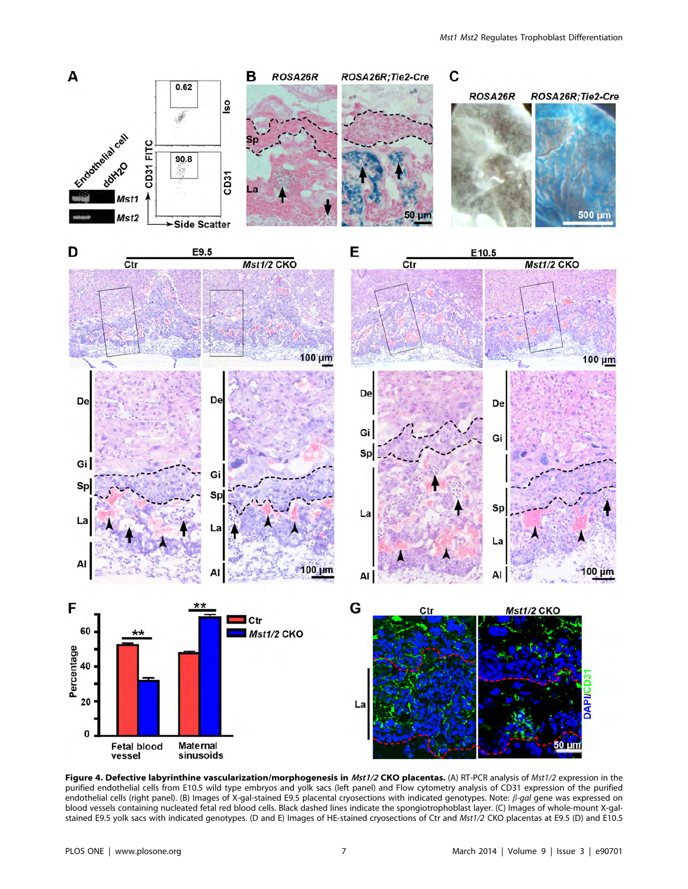

Figure 4. Defective labyrinthine vascularization/morphogenesis in Mst1/2 CKO placentas. (A) RT-PCR analysis of Mst1/2 expression in the purified endothelial cells from E10.5 wild type embryos and yolk sacs (left panel) and Flow cytometry analysis of CD31 expression of the purified endothelial cells (right panel). (B) Images of X-gal-stained E9.5 placental cryosections with indicated genotypes. Note: *b*-gal gene was expressed on blood vessels containing nucleated fetal red blood cells. Black dashed lines indicate the spongiotrophoblast layer. (C) Images of whole-mount X-galstained E9.5 yolk sacs with indicated genotypes. (D and E) Images of HE-stained cryosections of Ctr and Mst1/2 CKO placentas at E9.5 (D) and E10.5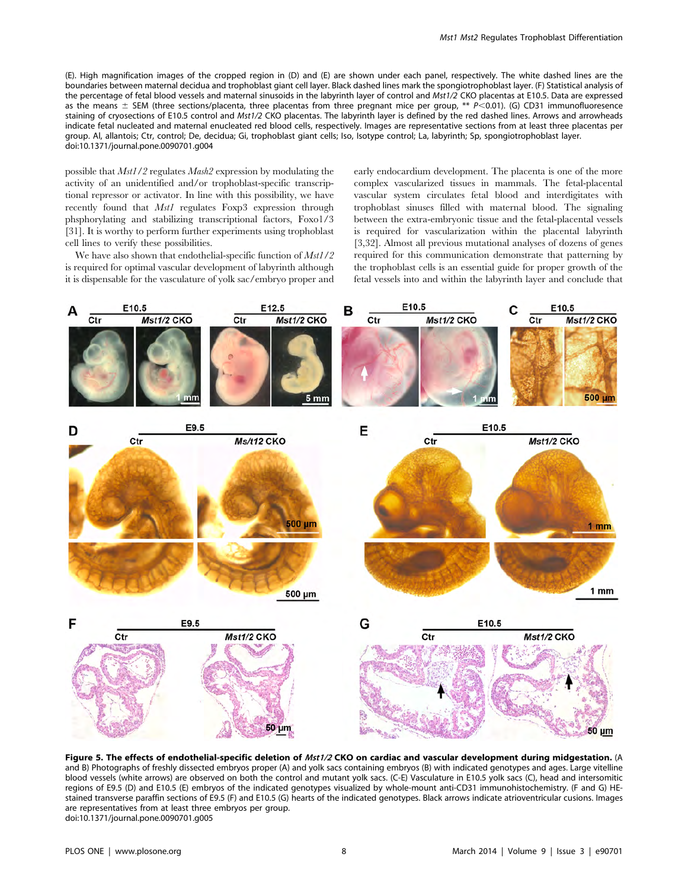(E). High magnification images of the cropped region in (D) and (E) are shown under each panel, respectively. The white dashed lines are the boundaries between maternal decidua and trophoblast giant cell layer. Black dashed lines mark the spongiotrophoblast layer. (F) Statistical analysis of the percentage of fetal blood vessels and maternal sinusoids in the labyrinth layer of control and Mst1/2 CKO placentas at E10.5. Data are expressed as the means  $\pm$  SEM (three sections/placenta, three placentas from three pregnant mice per group, \*\*  $P$ <0.01). (G) CD31 immunofluoresence staining of cryosections of E10.5 control and Mst1/2 CKO placentas. The labyrinth layer is defined by the red dashed lines. Arrows and arrowheads indicate fetal nucleated and maternal enucleated red blood cells, respectively. Images are representative sections from at least three placentas per group. Al, allantois; Ctr, control; De, decidua; Gi, trophoblast giant cells; Iso, Isotype control; La, labyrinth; Sp, spongiotrophoblast layer. doi:10.1371/journal.pone.0090701.g004

possible that Mst1/2 regulates Mash2 expression by modulating the activity of an unidentified and/or trophoblast-specific transcriptional repressor or activator. In line with this possibility, we have recently found that *Mst1* regulates Foxp3 expression through phsphorylating and stabilizing transcriptional factors, Foxo1/3 [31]. It is worthy to perform further experiments using trophoblast cell lines to verify these possibilities.

We have also shown that endothelial-specific function of Mst1/2 is required for optimal vascular development of labyrinth although it is dispensable for the vasculature of yolk sac/embryo proper and

early endocardium development. The placenta is one of the more complex vascularized tissues in mammals. The fetal-placental vascular system circulates fetal blood and interdigitates with trophoblast sinuses filled with maternal blood. The signaling between the extra-embryonic tissue and the fetal-placental vessels is required for vascularization within the placental labyrinth [3,32]. Almost all previous mutational analyses of dozens of genes required for this communication demonstrate that patterning by the trophoblast cells is an essential guide for proper growth of the fetal vessels into and within the labyrinth layer and conclude that



Figure 5. The effects of endothelial-specific deletion of Mst1/2 CKO on cardiac and vascular development during midgestation. (A and B) Photographs of freshly dissected embryos proper (A) and yolk sacs containing embryos (B) with indicated genotypes and ages. Large vitelline blood vessels (white arrows) are observed on both the control and mutant yolk sacs. (C-E) Vasculature in E10.5 yolk sacs (C), head and intersomitic regions of E9.5 (D) and E10.5 (E) embryos of the indicated genotypes visualized by whole-mount anti-CD31 immunohistochemistry. (F and G) HEstained transverse paraffin sections of E9.5 (F) and E10.5 (G) hearts of the indicated genotypes. Black arrows indicate atrioventricular cusions. Images are representatives from at least three embryos per group. doi:10.1371/journal.pone.0090701.g005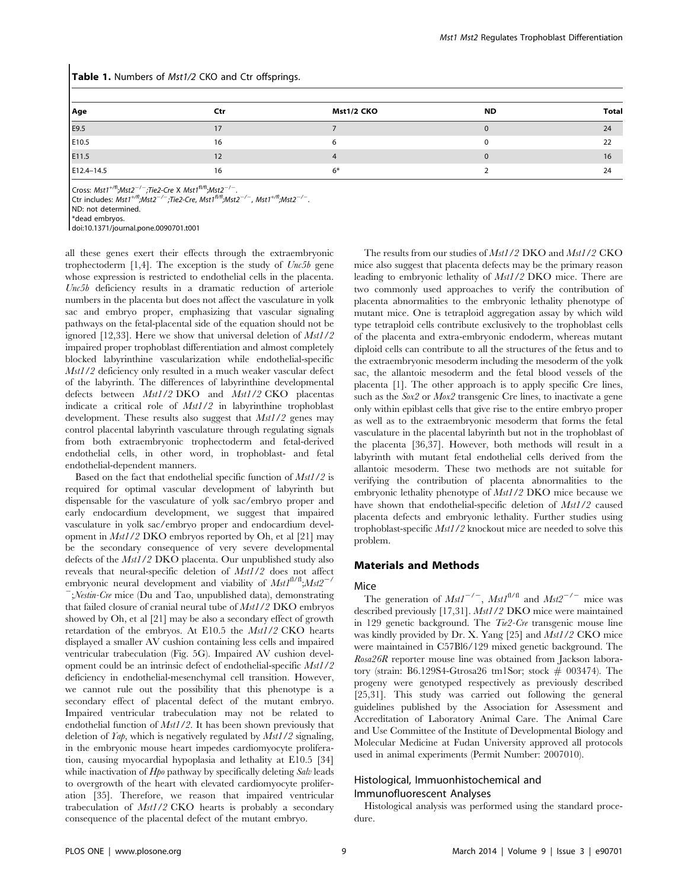| Age        | Ctr | Mst1/2 CKO | <b>ND</b> | <b>Total</b> |
|------------|-----|------------|-----------|--------------|
| E9.5       | 17  |            |           | 24           |
| E10.5      | 16  | 6          |           | 22           |
| E11.5      | 12  |            |           | 16           |
| E12.4-14.5 | 16  | $6*$       |           | 24           |

Table 1. Numbers of Mst1/2 CKO and Ctr offsprings.

Cross:  $Mst1^{+/fl}$ ; $Mst2^{-/-}$ ;Tie2-Cre X  $Mst1^{fl/fl}$ ; $Mst2^{-/-}$ 

Ctr includes:  $Mst1^{+/fl}$ ; $Mst2^{-/-}$ ;Tie2-Cre, Mst1<sup>f/fl</sup>; $Mst2^{-/-}$ , Mst1<sup>+/fl</sup>; $Mst2^{-/-}$ .

ND: not determined.

\*dead embryos.

doi:10.1371/journal.pone.0090701.t001

all these genes exert their effects through the extraembryonic trophectoderm  $[1,4]$ . The exception is the study of Unc5b gene whose expression is restricted to endothelial cells in the placenta.  $Unc5b$  deficiency results in a dramatic reduction of arteriole numbers in the placenta but does not affect the vasculature in yolk sac and embryo proper, emphasizing that vascular signaling pathways on the fetal-placental side of the equation should not be ignored [12,33]. Here we show that universal deletion of Mst1/2 impaired proper trophoblast differentiation and almost completely blocked labyrinthine vascularization while endothelial-specific Mst1/2 deficiency only resulted in a much weaker vascular defect of the labyrinth. The differences of labyrinthine developmental defects between Mst1/2 DKO and Mst1/2 CKO placentas indicate a critical role of Mst1/2 in labyrinthine trophoblast development. These results also suggest that  $Mst1/2$  genes may control placental labyrinth vasculature through regulating signals from both extraembryonic trophectoderm and fetal-derived endothelial cells, in other word, in trophoblast- and fetal endothelial-dependent manners.

Based on the fact that endothelial specific function of  $Mst1/2$  is required for optimal vascular development of labyrinth but dispensable for the vasculature of yolk sac/embryo proper and early endocardium development, we suggest that impaired vasculature in yolk sac/embryo proper and endocardium development in  $Mst1/2$  DKO embryos reported by Oh, et al [21] may be the secondary consequence of very severe developmental defects of the Mst1/2 DKO placenta. Our unpublished study also reveals that neural-specific deletion of Mst1/2 does not affect embryonic neural development and viability of  $MstI^{fl/fl};Mst2^{-/}$ 

 $\bar{C}$ ; Nestin-Cre mice (Du and Tao, unpublished data), demonstrating that failed closure of cranial neural tube of Mst1/2 DKO embryos showed by Oh, et al [21] may be also a secondary effect of growth retardation of the embryos. At E10.5 the Mst1/2 CKO hearts displayed a smaller AV cushion containing less cells and impaired ventricular trabeculation (Fig. 5G). Impaired AV cushion development could be an intrinsic defect of endothelial-specific Mst1/2 deficiency in endothelial-mesenchymal cell transition. However, we cannot rule out the possibility that this phenotype is a secondary effect of placental defect of the mutant embryo. Impaired ventricular trabeculation may not be related to endothelial function of Mst1/2. It has been shown previously that deletion of Yap, which is negatively regulated by Mst1/2 signaling, in the embryonic mouse heart impedes cardiomyocyte proliferation, causing myocardial hypoplasia and lethality at E10.5 [34] while inactivation of *Hpo* pathway by specifically deleting *Salv* leads to overgrowth of the heart with elevated cardiomyocyte proliferation [35]. Therefore, we reason that impaired ventricular trabeculation of Mst1/2 CKO hearts is probably a secondary consequence of the placental defect of the mutant embryo.

The results from our studies of Mst1/2 DKO and Mst1/2 CKO mice also suggest that placenta defects may be the primary reason leading to embryonic lethality of Mst1/2 DKO mice. There are two commonly used approaches to verify the contribution of placenta abnormalities to the embryonic lethality phenotype of mutant mice. One is tetraploid aggregation assay by which wild type tetraploid cells contribute exclusively to the trophoblast cells of the placenta and extra-embryonic endoderm, whereas mutant diploid cells can contribute to all the structures of the fetus and to the extraembryonic mesoderm including the mesoderm of the yolk sac, the allantoic mesoderm and the fetal blood vessels of the placenta [1]. The other approach is to apply specific Cre lines, such as the Sox2 or Mox2 transgenic Cre lines, to inactivate a gene only within epiblast cells that give rise to the entire embryo proper as well as to the extraembryonic mesoderm that forms the fetal vasculature in the placental labyrinth but not in the trophoblast of the placenta [36,37]. However, both methods will result in a labyrinth with mutant fetal endothelial cells derived from the allantoic mesoderm. These two methods are not suitable for verifying the contribution of placenta abnormalities to the embryonic lethality phenotype of Mst1/2 DKO mice because we have shown that endothelial-specific deletion of  $Mst1/2$  caused placenta defects and embryonic lethality. Further studies using trophoblast-specific Mst1/2 knockout mice are needed to solve this problem.

#### Materials and Methods

#### Mice

The generation of  $MstI^{-/-}$ ,  $MstI^{fl/fl}$  and  $Mst2^{-/-}$  mice was described previously [17,31]. Mst1/2 DKO mice were maintained in 129 genetic background. The  $Tie2-Cre$  transgenic mouse line was kindly provided by Dr. X. Yang [25] and Mst1/2 CKO mice were maintained in C57Bl6/129 mixed genetic background. The Rosa26R reporter mouse line was obtained from Jackson laboratory (strain: B6.129S4-Gtrosa26 tm1Sor; stock *#* 003474). The progeny were genotyped respectively as previously described [25,31]. This study was carried out following the general guidelines published by the Association for Assessment and Accreditation of Laboratory Animal Care. The Animal Care and Use Committee of the Institute of Developmental Biology and Molecular Medicine at Fudan University approved all protocols used in animal experiments (Permit Number: 2007010).

## Histological, Immuonhistochemical and Immunofluorescent Analyses

Histological analysis was performed using the standard procedure.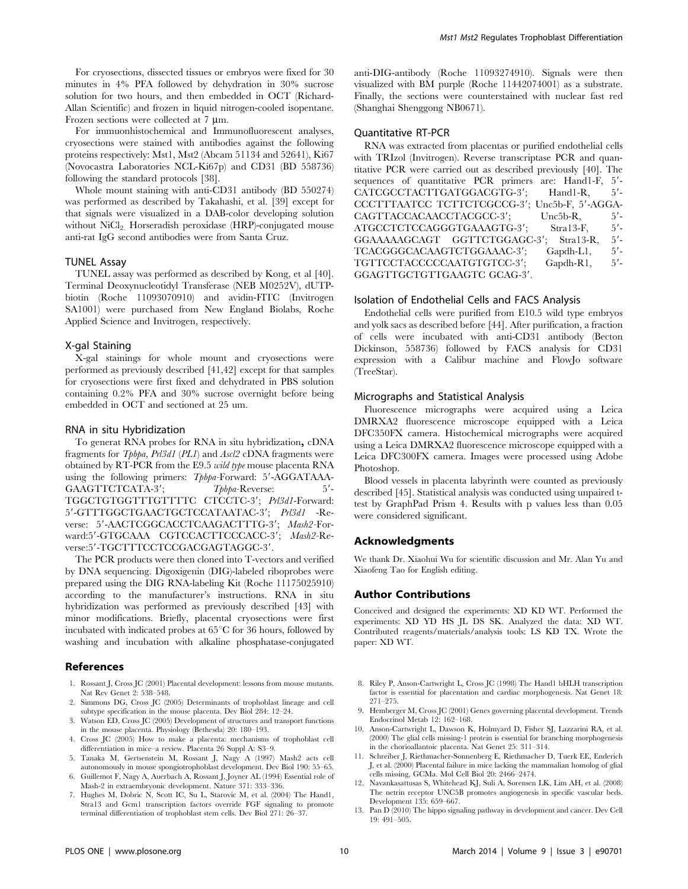For cryosections, dissected tissues or embryos were fixed for 30 minutes in 4% PFA followed by dehydration in 30% sucrose solution for two hours, and then embedded in OCT (Richard-Allan Scientific) and frozen in liquid nitrogen-cooled isopentane. Frozen sections were collected at  $7 \mu m$ .

For immuonhistochemical and Immunofluorescent analyses, cryosections were stained with antibodies against the following proteins respectively: Mst1, Mst2 (Abcam 51134 and 52641), Ki67 (Novocastra Laboratories NCL-Ki67p) and CD31 (BD 558736) following the standard protocols [38].

Whole mount staining with anti-CD31 antibody (BD 550274) was performed as described by Takahashi, et al. [39] except for that signals were visualized in a DAB-color developing solution without NiCl<sub>2</sub>. Horseradish peroxidase (HRP)-conjugated mouse anti-rat IgG second antibodies were from Santa Cruz.

#### TUNEL Assay

TUNEL assay was performed as described by Kong, et al [40]. Terminal Deoxynucleotidyl Transferase (NEB M0252V), dUTPbiotin (Roche 11093070910) and avidin-FITC (Invitrogen SA1001) were purchased from New England Biolabs, Roche Applied Science and Invitrogen, respectively.

#### X-gal Staining

X-gal stainings for whole mount and cryosections were performed as previously described [41,42] except for that samples for cryosections were first fixed and dehydrated in PBS solution containing 0.2% PFA and 30% sucrose overnight before being embedded in OCT and sectioned at 25 um.

#### RNA in situ Hybridization

To generat RNA probes for RNA in situ hybridization*,* cDNA fragments for *Tbbba, Prl3d1* (*PLI*) and *Ascl2* cDNA fragments were obtained by RT-PCR from the E9.5 wild type mouse placenta RNA using the following primers: Tpbpa-Forward: 5'-AGGATAAA- $GAAGTTCTCATA-3';$   $Tbba=$ -Reverse:  $5'-$ TGGCTGTGGTTTGTTTTC CTCCTC-3': Prl3d1-Forward: 5'-GTTTGGCTGAACTGCTCCATAATAC-3'; Prl3d1 -Reverse: 5'-AACTCGGCACCTCAAGACTTTG-3'; Mash2-Forward:5'-GTGCAAA CGTCCACTTCCCACC-3'; Mash2-Reverse:5'-TGCTTTCCTCCGACGAGTAGGC-3'.

The PCR products were then cloned into T-vectors and verified by DNA sequencing. Digoxigenin (DIG)-labeled riboprobes were prepared using the DIG RNA-labeling Kit (Roche 11175025910) according to the manufacturer's instructions. RNA in situ hybridization was performed as previously described [43] with minor modifications. Briefly, placental cryosections were first incubated with indicated probes at 65<sup>°</sup>C for 36 hours, followed by washing and incubation with alkaline phosphatase-conjugated

#### References

- 1. Rossant J, Cross JC (2001) Placental development: lessons from mouse mutants. Nat Rev Genet 2: 538–548.
- 2. Simmons DG, Cross JC (2005) Determinants of trophoblast lineage and cell subtype specification in the mouse placenta. Dev Biol 284: 12–24.
- 3. Watson ED, Cross JC (2005) Development of structures and transport functions in the mouse placenta. Physiology (Bethesda) 20: 180–193.
- 4. Cross JC (2005) How to make a placenta: mechanisms of trophoblast cell differentiation in mice–a review. Placenta 26 Suppl A: S3–9.
- 5. Tanaka M, Gertsenstein M, Rossant J, Nagy A (1997) Mash2 acts cell autonomously in mouse spongiotrophoblast development. Dev Biol 190: 55–65. 6. Guillemot F, Nagy A, Auerbach A, Rossant J, Joyner AL (1994) Essential role of
- Mash-2 in extraembryonic development. Nature 371: 333–336.
- 7. Hughes M, Dobric N, Scott IC, Su L, Starovic M, et al. (2004) The Hand1, Stra13 and Gcm1 transcription factors override FGF signaling to promote terminal differentiation of trophoblast stem cells. Dev Biol 271: 26–37.

anti-DIG-antibody (Roche 11093274910). Signals were then visualized with BM purple (Roche 11442074001) as a substrate. Finally, the sections were counterstained with nuclear fast red (Shanghai Shenggong NB0671).

## Quantitative RT-PCR

RNA was extracted from placentas or purified endothelial cells with TRIzol (Invitrogen). Reverse transcriptase PCR and quantitative PCR were carried out as described previously [40]. The sequences of quantitative PCR primers are: Hand1-F,  $5'$ -CATCGCCTACTTGATGGACGTG-3'; Handl-R, 5'-CCCTTTAATCC TCTTCTCGCCG-3'; Unc5b-F, 5'-AGGA-CAGTTACCACAACCTACGCC-3'; Unc5b-R, 5'-ATGCCTCTCCAGGGTGAAAGTG-3'; Stra13-F, 5'-GGAAAAAGCAGT GGTTCTGGAGC-3'; Stra13-R, 5'-TCACGGGCACAAGTCTGGAAAC-3'; Gapdh-L1, 5'-<br>TGTTCCTACCCCCAATGTGTCC-3'; Gapdh-R1. 5'-TGTTCCTACCCCCAATGTGTCC-3'; Gapdh-R1, GGAGTTGCTGTTGAAGTC GCAG-3'.

### Isolation of Endothelial Cells and FACS Analysis

Endothelial cells were purified from E10.5 wild type embryos and yolk sacs as described before [44]. After purification, a fraction of cells were incubated with anti-CD31 antibody (Becton Dickinson, 558736) followed by FACS analysis for CD31 expression with a Calibur machine and FlowJo software (TreeStar).

#### Micrographs and Statistical Analysis

Fluorescence micrographs were acquired using a Leica DMRXA2 fluorescence microscope equipped with a Leica DFC350FX camera. Histochemical micrographs were acquired using a Leica DMRXA2 fluorescence microscope equipped with a Leica DFC300FX camera. Images were processed using Adobe Photoshop.

Blood vessels in placenta labyrinth were counted as previously described [45]. Statistical analysis was conducted using unpaired ttest by GraphPad Prism 4. Results with p values less than 0.05 were considered significant.

#### Acknowledgments

We thank Dr. Xiaohui Wu for scientific discussion and Mr. Alan Yu and Xiaofeng Tao for English editing.

#### Author Contributions

Conceived and designed the experiments: XD KD WT. Performed the experiments: XD YD HS JL DS SK. Analyzed the data: XD WT. Contributed reagents/materials/analysis tools: LS KD TX. Wrote the paper: XD WT.

- 8. Riley P, Anson-Cartwright L, Cross JC (1998) The Hand1 bHLH transcription factor is essential for placentation and cardiac morphogenesis. Nat Genet 18: 271–275.
- 9. Hemberger M, Cross JC (2001) Genes governing placental development. Trends Endocrinol Metab 12: 162–168.
- 10. Anson-Cartwright L, Dawson K, Holmyard D, Fisher SJ, Lazzarini RA, et al. (2000) The glial cells missing-1 protein is essential for branching morphogenesis in the chorioallantoic placenta. Nat Genet 25: 311–314.
- 11. Schreiber J, Riethmacher-Sonnenberg E, Riethmacher D, Tuerk EE, Enderich J, et al. (2000) Placental failure in mice lacking the mammalian homolog of glial cells missing, GCMa. Mol Cell Biol 20: 2466–2474.
- 12. Navankasattusas S, Whitehead KJ, Suli A, Sorensen LK, Lim AH, et al. (2008) The netrin receptor UNC5B promotes angiogenesis in specific vascular beds. Development 135: 659–667.
- 13. Pan D (2010) The hippo signaling pathway in development and cancer. Dev Cell 19: 491–505.